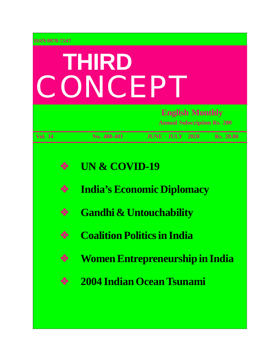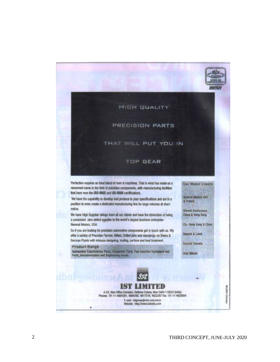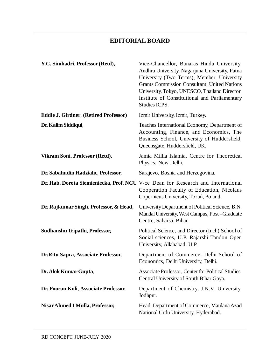## **EDITORIAL BOARD**

| Y.C. Simhadri, Professor (Retd),             | Vice-Chancellor, Banaras Hindu University,<br>Andhra University, Nagarjuna University, Patna<br>University (Two Terms), Member, University<br><b>Grants Commission Consultant, United Nations</b><br>University, Tokyo, UNESCO, Thailand Director,<br>Institute of Constitutional and Parliamentary<br>Studies ICPS. |
|----------------------------------------------|----------------------------------------------------------------------------------------------------------------------------------------------------------------------------------------------------------------------------------------------------------------------------------------------------------------------|
| <b>Eddie J. Girdner, (Retired Professor)</b> | Izmir University, Izmir, Turkey.                                                                                                                                                                                                                                                                                     |
| Dr. Kalim Siddiqui,                          | Teaches International Economy, Department of<br>Accounting, Finance, and Economics, The<br>Business School, University of Huddersfield,<br>Queensgate, Huddersfield, UK.                                                                                                                                             |
| Vikram Soni, Professor (Retd),               | Jamia Millia Islamia, Centre for Theoretical<br>Physics, New Delhi.                                                                                                                                                                                                                                                  |
| Dr. Sabahudin Hadzialic, Professor,          | Sarajevo, Bosnia and Herzegovina.                                                                                                                                                                                                                                                                                    |
|                                              | Dr. Hab. Dorota Siemieniecka, Prof. NCU V-ce Dean for Research and International<br>Cooperation Faculty of Education, Nicolaus<br>Copernicus University, Toruń, Poland.                                                                                                                                              |
| Dr. Rajkumar Singh, Professor, & Head,       | University Department of Political Science, B.N.<br>Mandal University, West Campus, Post-Graduate<br>Centre, Saharsa. Bihar.                                                                                                                                                                                         |
| Sudhanshu Tripathi, Professor,               | Political Science, and Director (Inch) School of<br>Social sciences, U.P. Rajarshi Tandon Open<br>University, Allahabad, U.P.                                                                                                                                                                                        |
| Dr. Ritu Sapra, Associate Professor,         | Department of Commerce, Delhi School of<br>Economics, Delhi University, Delhi.                                                                                                                                                                                                                                       |
| Dr. Alok Kumar Gupta,                        | Associate Professor, Center for Political Studies,<br>Central University of South Bihar Gaya.                                                                                                                                                                                                                        |
| Dr. Pooran Koli, Associate Professor,        | Department of Chemistry, J.N.V. University,<br>Jodhpur.                                                                                                                                                                                                                                                              |
| Nisar Ahmed I Mulla, Professor,              | Head, Department of Commerce, Maulana Azad<br>National Urdu University, Hyderabad.                                                                                                                                                                                                                                   |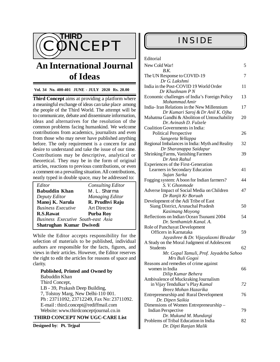

# **An International Journal of Ideas**

### **Vol. 34 No. 400-401 JUNE - JULY 2020 Rs. 20.00**

**Third Concept** aims at providing a platform where a meaningful exchange of ideas can take place among the people of the Third World. The attempt will be to communicate, debate and disseminate information, ideas and alternatives for the resolution of the common problems facing humankind. We welcome contributions from academics, journalists and even from those who may never have published anything before. The only requirement is a concern for and desire to understand and take the issue of our time. Contributions may be descriptive, analytical or theoretical. They may be in the form of original articles, reactions to previous contributions, or even a comment on a prevailing situation. All contributions, neatly typed in double space, may be addressed to:

| Editor                                    | <b>Consulting Editor</b> |  |
|-------------------------------------------|--------------------------|--|
| <b>Babuddin Khan</b>                      | M. L. Sharma             |  |
| Deputy Editor                             | <b>Managing Editor</b>   |  |
| Manoj K. Narula                           | R. Prudhvi Raju          |  |
| <b>Business Executive</b>                 | <b>Art Director</b>      |  |
| R.S.Rawat                                 | <b>Purba Roy</b>         |  |
| <b>Business Executive South-east Asia</b> |                          |  |
| Shatrughan Kumar Dwivedi                  |                          |  |

While the Editor accepts responsibility for the selection of materials to be published, individual authors are responsible for the facts, figures, and views in their articles. However, the Editor reserves the right to edit the articles for reasons of space and clarity.

### **Published, Printed and Owned by** Babuddin Khan Third Concept, LB - 39, Prakash Deep Building, 7, Tolstoy Marg, New Delhi-110 001. Ph : 23711092, 23712249, Fax No: 23711092. E-mail : [third.concept@rediffmail.com](mailto:third.concept@rediffmail.com) Website: [www.thirdconceptjournal.co.in](http://www.thirdconceptjournal.co.in)

#### **THIRD CONCEPT NOW UGC-CARE List**

**Designed by**: **Pt. Tejpal**

#### Editorial

| New Cold War!                                                        | 5  |
|----------------------------------------------------------------------|----|
| B.K.<br>The UN Response to COVID-19                                  | 7  |
| Dr G. Lakshmi                                                        |    |
| India in the Post-COVID 19 World Order                               | 11 |
| Dr Khushnam P N                                                      |    |
| Economic challenges of India's Foreign Policy                        | 13 |
| Mohammad Amir                                                        |    |
| India-Iran Relations in the New Millennium                           | 17 |
| Dr Kumari Saroj & Dr Anil K. Ojha                                    |    |
| Mahatma Gandhi & Abolition of Untouchability                         | 20 |
| Dr. Avinash D. Fulzele                                               |    |
| Coalition Governments in India:                                      |    |
| <b>Political Perspective</b>                                         | 26 |
| Sangeeta Yellappa<br>Regional Imbalances in India: Myth and Reality  | 32 |
| Dr Sharanappa Saidapur                                               |    |
| <b>Shrinking Farms, Vanishing Farmers</b>                            | 39 |
| Dr Amit Rahul                                                        |    |
| Experiences of the First-Generation                                  |    |
| Learners in Secondary Education                                      | 41 |
| Sujan Sarka                                                          |    |
| Fogging system: A boon for Indian farmers?                           | 44 |
| S. V. Ghonmode                                                       |    |
| Adverse Impact of Social Media on Children                           | 47 |
| Dr Ranjit Kr Boruah                                                  |    |
| Development of the Adi Tribe of East                                 |    |
| Siang District, Arunachal Pradesh                                    | 50 |
| Kasimang Moyong                                                      |    |
| Reflections on Indian Ocean Tsunami 2004<br>Dr. Senthamizh Kanal. A. | 54 |
| Role of Panchayat Development                                        |    |
| Officers in Karnataka                                                | 59 |
| Jayashree & Dr. Vijayalaxmi Biradar                                  |    |
| A Study on the Moral Judgment of Adolescent                          |    |
| <b>Students</b>                                                      | 62 |
| Mr. Gopal Tamuli, Prof. Jayadeba Sahoo                               |    |
| Mrs Buli Gogoi                                                       |    |
| Reasons and remedies of crime against                                |    |
| women in India                                                       | 66 |
| Dilip Kumar Behera                                                   |    |
| Ambivalence of Muckraking Journalism                                 |    |
| in Vijay Tendulkar's Play Kamal                                      | 72 |
| Breez Mohan Hazarika                                                 |    |
| <b>Entrepreneurship and Rural Development</b>                        | 76 |
| Dr. Dipen Saikia<br>Dimensions of Women Entrepreneurship -           |    |
| <b>Indian Perspective</b>                                            | 79 |
| Dr. Mukund M. Mundargi                                               |    |
| Problems of Tribal Education in India                                | 82 |
| Dr. Dipti Ranjan Malik                                               |    |